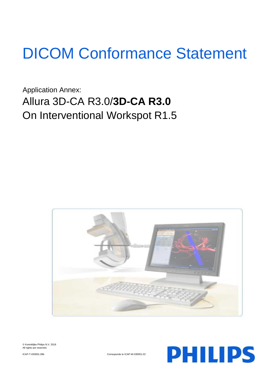# DICOM Conformance Statement

Application Annex: Allura 3D-CA R3.0/**3D-CA R3.0** On Interventional Workspot R1.5





ICAP-T-030001.09b Corresponds to ICAP-W-030001.02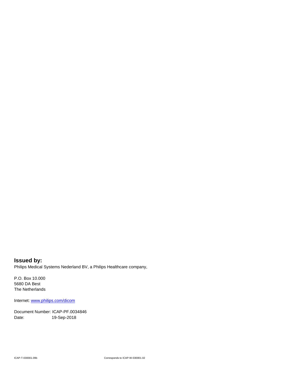**Issued by:** Philips Medical Systems Nederland BV, a Philips Healthcare company,

P.O. Box 10.000 5680 DA Best The Netherlands

Internet: www.philips.com/dicom

Document Number: ICAP-PF.0034846 Date: 19-Sep-2018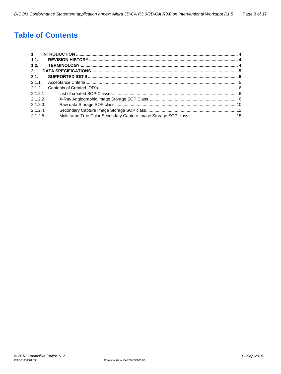# **Table of Contents**

| 1.       |  |
|----------|--|
| 1.1.     |  |
| 1.2.     |  |
| 2.       |  |
| 2.1.     |  |
| 2.1.1    |  |
| 2.1.2.   |  |
| 2.1.2.1  |  |
| 2.1.2.2. |  |
| 2.1.2.3  |  |
| 2.1.2.4  |  |
| 2.1.2.5. |  |
|          |  |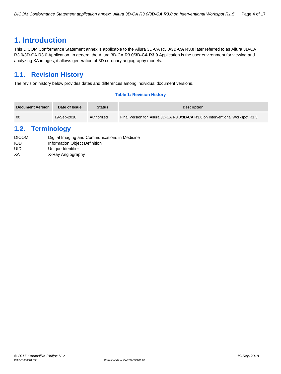# <span id="page-3-0"></span>**1. Introduction**

This DICOM Conformance Statement annex is applicable to the Allura 3D-CA R3.0/**3D-CA R3.0** later referred to as Allura 3D-CA R3.0/3D-CA R3.0 Application. In general the Allura 3D-CA R3.0/**3D-CA R3.0** Application is the user environment for viewing and analyzing XA images, it allows generation of 3D coronary angiography models.

# <span id="page-3-1"></span>**1.1. Revision History**

The revision history below provides dates and differences among individual document versions.

#### **Table 1: Revision History**

| <b>Document Version</b> | Date of Issue | <b>Status</b> | <b>Description</b>                                                             |
|-------------------------|---------------|---------------|--------------------------------------------------------------------------------|
| 00                      | 19-Sep-2018   | Authorized    | Final Version for Allura 3D-CA R3.0/3D-CA R3.0 on Interventional Workspot R1.5 |

# <span id="page-3-2"></span>**1.2. Terminology**

| <b>DICOM</b> | Digital Imaging and Communications in Medicine |
|--------------|------------------------------------------------|
| IOD          | Information Object Definition                  |
| UID          | Unique Identifier                              |
| XA           | X-Ray Angiography                              |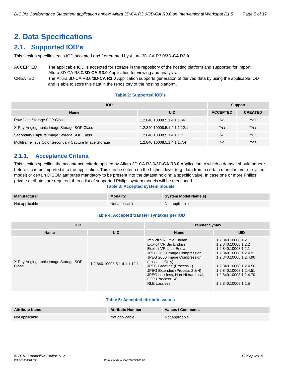# <span id="page-4-0"></span>**2. Data Specifications**

# <span id="page-4-1"></span>**2.1. Supported IOD's**

This section specifies each IOD accepted and / or created by Allura 3D-CA R3.0/**3D-CA R3.0**.

ACCEPTED The applicable IOD is accepted for storage in the repository of the hosting platform and supported for import Allura 3D-CA R3.0/**3D-CA R3.0** Application for viewing and analysis. CREATED The Allura 3D-CA R3.0/**3D-CA R3.0** Application supports generation of derived data by using the applicable IOD

and is able to store this data in the repository of the hosting platform.

#### **Table 2: Supported IOD's**

| <b>IOD</b>                                            |                              | <b>Support</b>  |                |  |
|-------------------------------------------------------|------------------------------|-----------------|----------------|--|
| <b>Name</b>                                           | <b>UID</b>                   | <b>ACCEPTED</b> | <b>CREATED</b> |  |
| Raw Data Storage SOP Class                            | 1.2.840.10008.5.1.4.1.1.66   | <b>No</b>       | Yes            |  |
| X-Ray Angiographic Image Storage SOP Class            | 1.2.840.10008.5.1.4.1.1.12.1 | Yes             | Yes            |  |
| Secondary Capture Image Storage SOP Class             | 1.2.840.10008.5.1.4.1.1.7    | <b>No</b>       | Yes            |  |
| Multiframe True Color Secondary Capture Image Storage | 1.2.840.10008.5.1.4.1.1.7.4  | <b>No</b>       | Yes            |  |

# <span id="page-4-2"></span>**2.1.1. Acceptance Criteria**

This section specifies the acceptance criteria applied by Allura 3D-CA R3.0/**3D-CA R3.0** Application to which a dataset should adhere before it can be imported into the application. This can be criteria on the highest level (e.g. data from a certain manufacturer or system model) or certain DICOM attributes mandatory to be present into the dataset holding a specific value. In case one or more Philips private attributes are required, then a list of supported Philips system models will be mentioned.

#### **Table 3: Accepted system models**

| <b>Manufacturer</b> | <b>Modality</b> | <b>System Model Name(s)</b> |
|---------------------|-----------------|-----------------------------|
| Not applicable      | Not applicable  | Not applicable              |

#### **Table 4: Accepted transfer syntaxes per IOD**

| <b>IOD</b>                                    |                              | <b>Transfer Syntax</b>                                                                                                                                                                                                                                                                                         |                                                                                                                                                                                                                          |  |  |
|-----------------------------------------------|------------------------------|----------------------------------------------------------------------------------------------------------------------------------------------------------------------------------------------------------------------------------------------------------------------------------------------------------------|--------------------------------------------------------------------------------------------------------------------------------------------------------------------------------------------------------------------------|--|--|
| <b>Name</b>                                   | <b>UID</b>                   | <b>Name</b>                                                                                                                                                                                                                                                                                                    | <b>UID</b>                                                                                                                                                                                                               |  |  |
| X-Ray Angiographic Image Storage SOP<br>Class | 1.2.840.10008.5.1.4.1.1.12.1 | Implicit VR Little Endian<br>Explicit VR Big Endian<br>Explicit VR Little Endian<br>JPEG 2000 Image Compression<br>JPEG 2000 Image Compression<br>(Lossless Only)<br>JPEG Baseline (Process 1)<br>JPEG Extended (Process 2 & 4)<br>JPEG Lossless, Non-Hierarchical,<br>FOP (Process 14)<br><b>RLE Lossless</b> | 1.2.840.10008.1.2<br>1.2.840.10008.1.2.2<br>1.2.840.10008.1.2.1<br>1.2.840.10008.1.2.4.91<br>1.2.840.10008.1.2.4.90<br>1.2.840.10008.1.2.4.50<br>1.2.840.10008.1.2.4.51<br>1.2.840.10008.1.2.4.70<br>1.2.840.10008.1.2.5 |  |  |

#### **Table 5: Accepted attribute values**

| <b>Attribute Name</b> | <b>Attribute Number</b> | Values / Comments |
|-----------------------|-------------------------|-------------------|
| Not applicable        | Not applicable          | Not applicable    |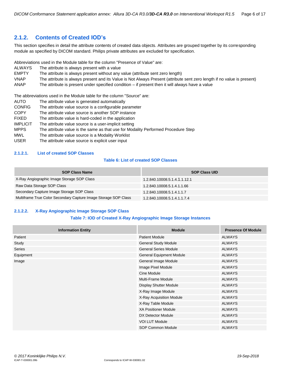# <span id="page-5-0"></span>**2.1.2. Contents of Created IOD's**

This section specifies in detail the attribute contents of created data objects. Attributes are grouped together by its corresponding module as specified by DICOM standard. Philips private attributes are excluded for specification.

Abbreviations used in the Module table for the column "Presence of Value" are:

- ALWAYS The attribute is always present with a value
- EMPTY The attribute is always present without any value (attribute sent zero length)
- VNAP The attribute is always present and its Value is Not Always Present (attribute sent zero length if no value is present)
- ANAP The attribute is present under specified condition if present then it will always have a value

The abbreviations used in the Module table for the column "Source" are:

- AUTO The attribute value is generated automatically
- CONFIG The attribute value source is a configurable parameter
- COPY The attribute value source is another SOP instance
- FIXED The attribute value is hard-coded in the application
- IMPLICIT The attribute value source is a user-implicit setting
- MPPS The attribute value is the same as that use for Modality Performed Procedure Step
- MWL The attribute value source is a Modality Worklist
- USER The attribute value source is explicit user input

# <span id="page-5-1"></span>**2.1.2.1. List of created SOP Classes**

# **Table 6: List of created SOP Classes**

| <b>SOP Class Name</b>                                           | <b>SOP Class UID</b>         |
|-----------------------------------------------------------------|------------------------------|
| X-Ray Angiographic Image Storage SOP Class                      | 1.2.840.10008.5.1.4.1.1.12.1 |
| Raw Data Storage SOP Class                                      | 1.2.840.10008.5.1.4.1.1.66   |
| Secondary Capture Image Storage SOP Class                       | 1.2.840.10008.5.1.4.1.1.7    |
| Multiframe True Color Secondary Capture Image Storage SOP Class | 1.2.840.10008.5.1.4.1.1.7.4  |

#### <span id="page-5-2"></span>**2.1.2.2. X-Ray Angiographic Image Storage SOP Class**

#### **Table 7: IOD of Created X-Ray Angiographic Image Storage Instances**

| <b>Information Entity</b> | <b>Module</b>                   | <b>Presence Of Module</b> |
|---------------------------|---------------------------------|---------------------------|
| Patient                   | <b>Patient Module</b>           | <b>ALWAYS</b>             |
| Study                     | <b>General Study Module</b>     | <b>ALWAYS</b>             |
| <b>Series</b>             | <b>General Series Module</b>    | <b>ALWAYS</b>             |
| Equipment                 | <b>General Equipment Module</b> | <b>ALWAYS</b>             |
| Image                     | General Image Module            | <b>ALWAYS</b>             |
|                           | Image Pixel Module              | <b>ALWAYS</b>             |
|                           | Cine Module                     | <b>ALWAYS</b>             |
|                           | Multi-Frame Module              | <b>ALWAYS</b>             |
|                           | Display Shutter Module          | <b>ALWAYS</b>             |
|                           | X-Ray Image Module              | <b>ALWAYS</b>             |
|                           | X-Ray Acquisition Module        | <b>ALWAYS</b>             |
|                           | X-Ray Table Module              | <b>ALWAYS</b>             |
|                           | <b>XA Positioner Module</b>     | <b>ALWAYS</b>             |
|                           | DX Detector Module              | <b>ALWAYS</b>             |
|                           | <b>VOI LUT Module</b>           | <b>ALWAYS</b>             |
|                           | SOP Common Module               | <b>ALWAYS</b>             |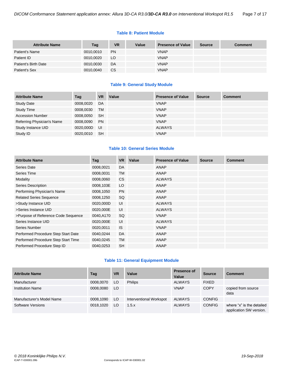#### **Table 8: Patient Module**

| <b>Attribute Name</b> | Tag       | <b>VR</b> | Value | <b>Presence of Value</b> | <b>Source</b> | <b>Comment</b> |
|-----------------------|-----------|-----------|-------|--------------------------|---------------|----------------|
| Patient's Name        | 0010,0010 | <b>PN</b> |       | <b>VNAP</b>              |               |                |
| Patient ID            | 0010,0020 | LO        |       | <b>VNAP</b>              |               |                |
| Patient's Birth Date  | 0010,0030 | DA        |       | <b>VNAP</b>              |               |                |
| Patient's Sex         | 0010,0040 | CS.       |       | <b>VNAP</b>              |               |                |

# **Table 9: General Study Module**

| <b>Attribute Name</b>      | Tag       | <b>VR</b> | Value | <b>Presence of Value</b> | Source | <b>Comment</b> |
|----------------------------|-----------|-----------|-------|--------------------------|--------|----------------|
| <b>Study Date</b>          | 0008,0020 | DA        |       | <b>VNAP</b>              |        |                |
| <b>Study Time</b>          | 0008,0030 | <b>TM</b> |       | <b>VNAP</b>              |        |                |
| <b>Accession Number</b>    | 0008,0050 | <b>SH</b> |       | <b>VNAP</b>              |        |                |
| Referring Physician's Name | 0008,0090 | <b>PN</b> |       | <b>VNAP</b>              |        |                |
| Study Instance UID         | 0020,000D | UI        |       | <b>ALWAYS</b>            |        |                |
| Study ID                   | 0020,0010 | <b>SH</b> |       | <b>VNAP</b>              |        |                |

# **Table 10: General Series Module**

| <b>Attribute Name</b>               | Tag       | <b>VR</b> | Value | <b>Presence of Value</b> | <b>Source</b> | <b>Comment</b> |
|-------------------------------------|-----------|-----------|-------|--------------------------|---------------|----------------|
| Series Date                         | 0008,0021 | DA        |       | <b>ANAP</b>              |               |                |
| Series Time                         | 0008,0031 | <b>TM</b> |       | <b>ANAP</b>              |               |                |
| Modality                            | 0008,0060 | CS        |       | <b>ALWAYS</b>            |               |                |
| Series Description                  | 0008,103E | LO        |       | <b>ANAP</b>              |               |                |
| Performing Physician's Name         | 0008,1050 | <b>PN</b> |       | <b>ANAP</b>              |               |                |
| <b>Related Series Sequence</b>      | 0008,1250 | SQ        |       | <b>ANAP</b>              |               |                |
| >Study Instance UID                 | 0020,000D | UI        |       | <b>ALWAYS</b>            |               |                |
| >Series Instance UID                | 0020,000E | UI        |       | <b>ALWAYS</b>            |               |                |
| >Purpose of Reference Code Sequence | 0040,A170 | SQ        |       | <b>VNAP</b>              |               |                |
| Series Instance UID                 | 0020,000E | UI        |       | <b>ALWAYS</b>            |               |                |
| Series Number                       | 0020,0011 | <b>IS</b> |       | <b>VNAP</b>              |               |                |
| Performed Procedure Step Start Date | 0040,0244 | DA        |       | <b>ANAP</b>              |               |                |
| Performed Procedure Step Start Time | 0040,0245 | <b>TM</b> |       | <b>ANAP</b>              |               |                |
| Performed Procedure Step ID         | 0040,0253 | <b>SH</b> |       | <b>ANAP</b>              |               |                |

# **Table 11: General Equipment Module**

| <b>Attribute Name</b>     | Tag       | <b>VR</b> | Value                   | <b>Presence of</b><br>Value | <b>Source</b> | <b>Comment</b>                                       |
|---------------------------|-----------|-----------|-------------------------|-----------------------------|---------------|------------------------------------------------------|
| Manufacturer              | 0008.0070 | LO        | <b>Philips</b>          | ALWAYS                      | <b>FIXED</b>  |                                                      |
| <b>Institution Name</b>   | 0008,0080 | LO        |                         | <b>VNAP</b>                 | <b>COPY</b>   | copied from source<br>data                           |
| Manufacturer's Model Name | 0008,1090 | LO        | Interventional Workspot | <b>ALWAYS</b>               | <b>CONFIG</b> |                                                      |
| <b>Software Versions</b>  | 0018.1020 | LO.       | 1.5.x                   | <b>ALWAYS</b>               | <b>CONFIG</b> | where "x" is the detailed<br>application SW version. |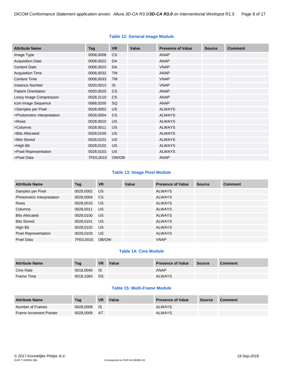# **Table 12: General Image Module**

| <b>Attribute Name</b>       | Tag       | <b>VR</b> | Value | <b>Presence of Value</b> | <b>Source</b> | <b>Comment</b> |
|-----------------------------|-----------|-----------|-------|--------------------------|---------------|----------------|
| Image Type                  | 0008,0008 | <b>CS</b> |       | <b>ANAP</b>              |               |                |
| <b>Acquisition Date</b>     | 0008,0022 | DA        |       | <b>ANAP</b>              |               |                |
| <b>Content Date</b>         | 0008,0023 | DA        |       | <b>VNAP</b>              |               |                |
| <b>Acquisition Time</b>     | 0008,0032 | <b>TM</b> |       | <b>ANAP</b>              |               |                |
| <b>Content Time</b>         | 0008,0033 | <b>TM</b> |       | <b>VNAP</b>              |               |                |
| <b>Instance Number</b>      | 0020,0013 | <b>IS</b> |       | <b>VNAP</b>              |               |                |
| <b>Patient Orientation</b>  | 0020,0020 | <b>CS</b> |       | <b>ANAP</b>              |               |                |
| Lossy Image Compression     | 0028,2110 | <b>CS</b> |       | <b>ANAP</b>              |               |                |
| Icon Image Sequence         | 0088,0200 | SQ        |       | <b>ANAP</b>              |               |                |
| >Samples per Pixel          | 0028,0002 | <b>US</b> |       | <b>ALWAYS</b>            |               |                |
| >Photometric Interpretation | 0028,0004 | <b>CS</b> |       | <b>ALWAYS</b>            |               |                |
| >Rows                       | 0028,0010 | <b>US</b> |       | <b>ALWAYS</b>            |               |                |
| >Columns                    | 0028,0011 | US        |       | <b>ALWAYS</b>            |               |                |
| >Bits Allocated             | 0028,0100 | <b>US</b> |       | <b>ALWAYS</b>            |               |                |
| >Bits Stored                | 0028,0101 | <b>US</b> |       | <b>ALWAYS</b>            |               |                |
| >High Bit                   | 0028,0102 | <b>US</b> |       | <b>ALWAYS</b>            |               |                |
| >Pixel Representation       | 0028,0103 | <b>US</b> |       | <b>ALWAYS</b>            |               |                |
| >Pixel Data                 | 7FE0,0010 | OW/OB     |       | <b>ANAP</b>              |               |                |

# **Table 13: Image Pixel Module**

| <b>Attribute Name</b>       | Tag       | <b>VR</b> | Value | <b>Presence of Value</b> | <b>Source</b> | <b>Comment</b> |
|-----------------------------|-----------|-----------|-------|--------------------------|---------------|----------------|
| Samples per Pixel           | 0028,0002 | <b>US</b> |       | <b>ALWAYS</b>            |               |                |
| Photometric Interpretation  | 0028,0004 | CS.       |       | <b>ALWAYS</b>            |               |                |
| Rows                        | 0028,0010 | US        |       | <b>ALWAYS</b>            |               |                |
| Columns                     | 0028,0011 | <b>US</b> |       | <b>ALWAYS</b>            |               |                |
| <b>Bits Allocated</b>       | 0028,0100 | US.       |       | <b>ALWAYS</b>            |               |                |
| <b>Bits Stored</b>          | 0028,0101 | US        |       | <b>ALWAYS</b>            |               |                |
| High Bit                    | 0028,0102 | <b>US</b> |       | <b>ALWAYS</b>            |               |                |
| <b>Pixel Representation</b> | 0028,0103 | US        |       | <b>ALWAYS</b>            |               |                |
| Pixel Data                  | 7FE0.0010 | OB/OW     |       | <b>VNAP</b>              |               |                |

# **Table 14: Cine Module**

| <b>Attribute Name</b> | Tag       | <b>VR</b> | Value | <b>Presence of Value</b> | Source | <b>Comment</b> |
|-----------------------|-----------|-----------|-------|--------------------------|--------|----------------|
| Cine Rate             | 0018.0040 | <b>IS</b> |       | <b>ANAP</b>              |        |                |
| Frame Time            | 0018.1063 | <b>DS</b> |       | <b>ALWAYS</b>            |        |                |

# **Table 15: Multi-Frame Module**

| <b>Attribute Name</b>          | Taq       | <b>VR</b> | Value | <b>Presence of Value</b> | <b>Source</b> | <b>Comment</b> |
|--------------------------------|-----------|-----------|-------|--------------------------|---------------|----------------|
| Number of Frames               | 0028.0008 | ⊟ IS      |       | <b>ALWAYS</b>            |               |                |
| <b>Frame Increment Pointer</b> | 0028.0009 | - AT      |       | <b>ALWAYS</b>            |               |                |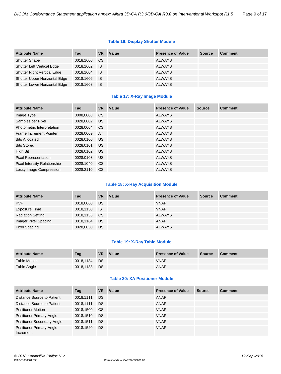# **Table 16: Display Shutter Module**

| <b>Attribute Name</b>              | Tag          | <b>VR</b>     | Value | <b>Presence of Value</b> | <b>Source</b> | <b>Comment</b> |
|------------------------------------|--------------|---------------|-------|--------------------------|---------------|----------------|
| <b>Shutter Shape</b>               | 0018,1600    | <sub>CS</sub> |       | <b>ALWAYS</b>            |               |                |
| <b>Shutter Left Vertical Edge</b>  | 0018,1602 IS |               |       | <b>ALWAYS</b>            |               |                |
| <b>Shutter Right Vertical Edge</b> | 0018,1604    | <b>IS</b>     |       | <b>ALWAYS</b>            |               |                |
| Shutter Upper Horizontal Edge      | 0018,1606    | <b>IS</b>     |       | <b>ALWAYS</b>            |               |                |
| Shutter Lower Horizontal Edge      | 0018,1608    | - IS          |       | <b>ALWAYS</b>            |               |                |

# **Table 17: X-Ray Image Module**

| <b>Attribute Name</b>               | Tag       | <b>VR</b>     | Value | <b>Presence of Value</b> | <b>Source</b> | <b>Comment</b> |
|-------------------------------------|-----------|---------------|-------|--------------------------|---------------|----------------|
| Image Type                          | 0008,0008 | <sub>CS</sub> |       | <b>ALWAYS</b>            |               |                |
| Samples per Pixel                   | 0028,0002 | <b>US</b>     |       | <b>ALWAYS</b>            |               |                |
| Photometric Interpretation          | 0028,0004 | <sub>CS</sub> |       | <b>ALWAYS</b>            |               |                |
| Frame Increment Pointer             | 0028,0009 | AT            |       | <b>ALWAYS</b>            |               |                |
| <b>Bits Allocated</b>               | 0028.0100 | <b>US</b>     |       | <b>ALWAYS</b>            |               |                |
| <b>Bits Stored</b>                  | 0028.0101 | <b>US</b>     |       | <b>ALWAYS</b>            |               |                |
| High Bit                            | 0028,0102 | <b>US</b>     |       | <b>ALWAYS</b>            |               |                |
| <b>Pixel Representation</b>         | 0028,0103 | <b>US</b>     |       | <b>ALWAYS</b>            |               |                |
| <b>Pixel Intensity Relationship</b> | 0028,1040 | <b>CS</b>     |       | <b>ALWAYS</b>            |               |                |
| Lossy Image Compression             | 0028.2110 | <sub>CS</sub> |       | <b>ALWAYS</b>            |               |                |

# **Table 18: X-Ray Acquisition Module**

| <b>Attribute Name</b>    | Tag          | <b>VR</b> | Value | <b>Presence of Value</b> | <b>Source</b> | <b>Comment</b> |
|--------------------------|--------------|-----------|-------|--------------------------|---------------|----------------|
| <b>KVP</b>               | 0018,0060    | DS        |       | <b>VNAP</b>              |               |                |
| Exposure Time            | 0018,1150 IS |           |       | <b>VNAP</b>              |               |                |
| <b>Radiation Setting</b> | 0018,1155 CS |           |       | ALWAYS                   |               |                |
| Imager Pixel Spacing     | 0018,1164    | DS        |       | ANAP                     |               |                |
| <b>Pixel Spacing</b>     | 0028,0030    | <b>DS</b> |       | <b>ALWAYS</b>            |               |                |

#### **Table 19: X-Ray Table Module**

| <b>Attribute Name</b> | Tag          | <b>VR</b> | Value | <b>Presence of Value</b> | <b>Source</b> | <b>Comment</b> |
|-----------------------|--------------|-----------|-------|--------------------------|---------------|----------------|
| <b>Table Motion</b>   | 0018.1134 DS |           |       | <b>VNAP</b>              |               |                |
| Table Angle           | 0018,1138    | <b>DS</b> |       | <b>ANAP</b>              |               |                |

# **Table 20: XA Positioner Module**

| <b>Attribute Name</b>                        | Tag       | <b>VR</b> | Value | <b>Presence of Value</b> | <b>Source</b> | <b>Comment</b> |
|----------------------------------------------|-----------|-----------|-------|--------------------------|---------------|----------------|
| Distance Source to Patient                   | 0018.1111 | <b>DS</b> |       | ANAP                     |               |                |
| Distance Source to Patient                   | 0018,1111 | <b>DS</b> |       | ANAP                     |               |                |
| <b>Positioner Motion</b>                     | 0018.1500 | <b>CS</b> |       | <b>VNAP</b>              |               |                |
| <b>Positioner Primary Angle</b>              | 0018,1510 | <b>DS</b> |       | <b>VNAP</b>              |               |                |
| <b>Positioner Secondary Angle</b>            | 0018.1511 | <b>DS</b> |       | <b>VNAP</b>              |               |                |
| <b>Positioner Primary Angle</b><br>Increment | 0018.1520 | <b>DS</b> |       | <b>VNAP</b>              |               |                |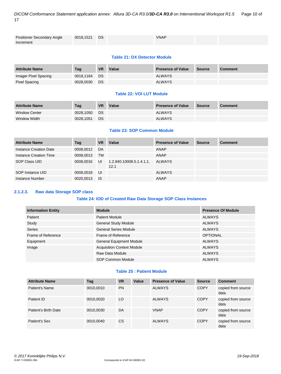*DICOM Conformance Statement application annex: Allura 3D-CA R3.0/3D-CA R3.0 on Interventional Workspot R1.5* Page 10 of 17

| <b>Positioner Secondary Angle</b> | 0018,1521 DS | <b>VNAP</b> |  |
|-----------------------------------|--------------|-------------|--|
| Increment                         |              |             |  |

# **Table 21: DX Detector Module**

| <b>Attribute Name</b> | Taq       | <b>VR</b> | Value | <b>Presence of Value</b> | <b>Source</b> | <b>Comment</b> |
|-----------------------|-----------|-----------|-------|--------------------------|---------------|----------------|
| Imager Pixel Spacing  | 0018.1164 | <b>DS</b> |       | <b>ALWAYS</b>            |               |                |
| Pixel Spacing         | 0028.0030 | DS        |       | <b>ALWAYS</b>            |               |                |

# **Table 22: VOI LUT Module**

| <b>Attribute Name</b> | Tag       | <b>VR</b> | Value | <b>Presence of Value</b> | Source | <b>Comment</b> |
|-----------------------|-----------|-----------|-------|--------------------------|--------|----------------|
| <b>Window Center</b>  | 0028.1050 | <b>DS</b> |       | <b>ALWAYS</b>            |        |                |
| Window Width          | 0028.1051 | DS.       |       | <b>ALWAYS</b>            |        |                |

## **Table 23: SOP Common Module**

| <b>Attribute Name</b>  | Tag       | <b>VR</b> | Value                            | <b>Presence of Value</b> | <b>Source</b> | <b>Comment</b> |
|------------------------|-----------|-----------|----------------------------------|--------------------------|---------------|----------------|
| Instance Creation Date | 0008,0012 | DA        |                                  | ANAP                     |               |                |
| Instance Creation Time | 0008.0013 | <b>TM</b> |                                  | ANAP                     |               |                |
| SOP Class UID          | 0008.0016 | UI        | 1.2.840.10008.5.1.4.1.1.<br>12.1 | ALWAYS                   |               |                |
| SOP Instance UID       | 0008,0018 | UI        |                                  | <b>ALWAYS</b>            |               |                |
| Instance Number        | 0020.0013 | - IS      |                                  | ANAP                     |               |                |

# <span id="page-9-0"></span>**2.1.2.3. Raw data Storage SOP class**

# **Table 24: IOD of Created Raw Data Storage SOP Class Instances**

| <b>Information Entity</b> | <b>Module</b>                     | <b>Presence Of Module</b> |
|---------------------------|-----------------------------------|---------------------------|
| Patient                   | <b>Patient Module</b>             | <b>ALWAYS</b>             |
| Study                     | <b>General Study Module</b>       | <b>ALWAYS</b>             |
| <b>Series</b>             | <b>General Series Module</b>      | <b>ALWAYS</b>             |
| Frame of Reference        | Frame of Reference                | <b>OPTIONAL</b>           |
| Equipment                 | <b>General Equipment Module</b>   | <b>ALWAYS</b>             |
| Image                     | <b>Acquisition Context Module</b> | <b>ALWAYS</b>             |
|                           | Raw Data Module                   | <b>ALWAYS</b>             |
|                           | SOP Common Module                 | <b>ALWAYS</b>             |

# **Table 25 : Patient Module**

| <b>Attribute Name</b> | Tag       | <b>VR</b> | Value | <b>Presence of Value</b> | <b>Source</b> | <b>Comment</b>             |
|-----------------------|-----------|-----------|-------|--------------------------|---------------|----------------------------|
| Patient's Name        | 0010,0010 | <b>PN</b> |       | <b>ALWAYS</b>            | <b>COPY</b>   | copied from source<br>data |
| Patient ID            | 0010,0020 | LO        |       | <b>ALWAYS</b>            | <b>COPY</b>   | copied from source<br>data |
| Patient's Birth Date  | 0010,0030 | DA        |       | <b>VNAP</b>              | <b>COPY</b>   | copied from source<br>data |
| Patient's Sex         | 0010,0040 | <b>CS</b> |       | <b>ALWAYS</b>            | <b>COPY</b>   | copied from source<br>data |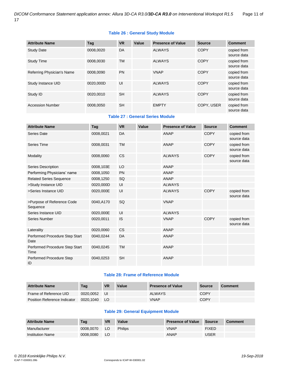# **Table 26 : General Study Module**

| <b>Attribute Name</b>      | Tag       | <b>VR</b> | Value | <b>Presence of Value</b> | <b>Source</b> | <b>Comment</b>             |
|----------------------------|-----------|-----------|-------|--------------------------|---------------|----------------------------|
| <b>Study Date</b>          | 0008,0020 | DA        |       | <b>ALWAYS</b>            | <b>COPY</b>   | copied from<br>source data |
| <b>Study Time</b>          | 0008,0030 | <b>TM</b> |       | <b>ALWAYS</b>            | <b>COPY</b>   | copied from<br>source data |
| Referring Physician's Name | 0008,0090 | <b>PN</b> |       | <b>VNAP</b>              | <b>COPY</b>   | copied from<br>source data |
| Study Instance UID         | 0020.000D | UI        |       | <b>ALWAYS</b>            | <b>COPY</b>   | copied from<br>source data |
| Study ID                   | 0020.0010 | <b>SH</b> |       | <b>ALWAYS</b>            | <b>COPY</b>   | copied from<br>source data |
| <b>Accession Number</b>    | 0008,0050 | <b>SH</b> |       | <b>EMPTY</b>             | COPY, USER    | copied from<br>source data |

## **Table 27 : General Series Module**

| <b>Attribute Name</b>                  | Tag       | <b>VR</b> | Value | <b>Presence of Value</b> | <b>Source</b> | <b>Comment</b>             |
|----------------------------------------|-----------|-----------|-------|--------------------------|---------------|----------------------------|
|                                        |           |           |       |                          |               |                            |
| Series Date                            | 0008,0021 | DA        |       | <b>ANAP</b>              | <b>COPY</b>   | copied from<br>source data |
| Series Time                            | 0008,0031 | <b>TM</b> |       | <b>ANAP</b>              | <b>COPY</b>   | copied from<br>source data |
| Modality                               | 0008,0060 | <b>CS</b> |       | <b>ALWAYS</b>            | <b>COPY</b>   | copied from<br>source data |
| Series Description                     | 0008,103E | LO        |       | <b>ANAP</b>              |               |                            |
| Performing Physicians' name            | 0008,1050 | <b>PN</b> |       | <b>ANAP</b>              |               |                            |
| <b>Related Series Sequence</b>         | 0008,1250 | SQ        |       | <b>ANAP</b>              |               |                            |
| >Study Instance UID                    | 0020,000D | UI        |       | <b>ALWAYS</b>            |               |                            |
| >Series Instance UID                   | 0020,000E | UI        |       | <b>ALWAYS</b>            | <b>COPY</b>   | copied from<br>source data |
| >Purpose of Reference Code<br>Sequence | 0040,A170 | SQ        |       | <b>VNAP</b>              |               |                            |
| Series Instance UID                    | 0020,000E | UI        |       | <b>ALWAYS</b>            |               |                            |
| <b>Series Number</b>                   | 0020,0011 | IS        |       | <b>VNAP</b>              | <b>COPY</b>   | copied from<br>source data |
| Laterality                             | 0020,0060 | <b>CS</b> |       | <b>ANAP</b>              |               |                            |
| Performed Procedure Step Start<br>Date | 0040,0244 | DA        |       | <b>ANAP</b>              |               |                            |
| Performed Procedure Step Start<br>Time | 0040,0245 | <b>TM</b> |       | <b>ANAP</b>              |               |                            |
| Performed Procedure Step<br>ID         | 0040,0253 | <b>SH</b> |       | <b>ANAP</b>              |               |                            |

#### **Table 28: Frame of Reference Module**

| <b>Attribute Name</b>               | Tag       | <b>VR</b> | Value | <b>Presence of Value</b> | <b>Source</b> | <b>Comment</b> |
|-------------------------------------|-----------|-----------|-------|--------------------------|---------------|----------------|
| Frame of Reference UID              | 0020.0052 | UI        |       | <b>ALWAYS</b>            | COPY          |                |
| <b>Position Reference Indicator</b> | 0020.1040 | LO.       |       | <b>VNAP</b>              | COPY          |                |

# **Table 29: General Equipment Module**

| <b>Attribute Name</b>   | Taq       | <b>VR</b> | Value          | <b>Presence of Value</b> | Source       | <b>Comment</b> |
|-------------------------|-----------|-----------|----------------|--------------------------|--------------|----------------|
| Manufacturer            | 0008.0070 | LO        | <b>Philips</b> | <b>VNAP</b>              | <b>FIXED</b> |                |
| <b>Institution Name</b> | 0008.0080 | LO        |                | <b>ANAP</b>              | USER         |                |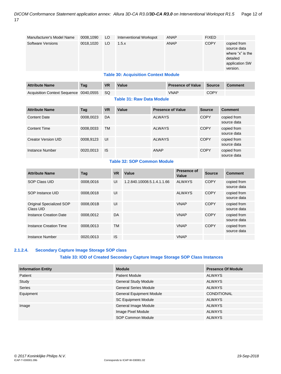| Manufacturer's Model Name              | 0008,1090 | LO        | Interventional Workspot                     |               | <b>ANAP</b>              | <b>FIXED</b>  |                                                                                          |
|----------------------------------------|-----------|-----------|---------------------------------------------|---------------|--------------------------|---------------|------------------------------------------------------------------------------------------|
| Software Versions                      | 0018,1020 | LO        | 1.5.x                                       |               | ANAP                     | <b>COPY</b>   | copied from<br>source data<br>where "x" is the<br>detailed<br>application SW<br>version. |
|                                        |           |           | <b>Table 30: Acquisition Context Module</b> |               |                          |               |                                                                                          |
| <b>Attribute Name</b>                  | Tag       | <b>VR</b> | Value                                       |               | <b>Presence of Value</b> | <b>Source</b> | <b>Comment</b>                                                                           |
| Acquisition Context Sequence 0040,0555 |           | <b>SQ</b> |                                             |               | <b>VNAP</b>              | <b>COPY</b>   |                                                                                          |
|                                        |           |           | <b>Table 31: Raw Data Module</b>            |               |                          |               |                                                                                          |
| <b>Attribute Name</b>                  | Tag       | <b>VR</b> | Value                                       |               | <b>Presence of Value</b> | <b>Source</b> | <b>Comment</b>                                                                           |
| <b>Content Date</b>                    | 0008,0023 | DA        |                                             | <b>ALWAYS</b> |                          | <b>COPY</b>   | copied from<br>source data                                                               |

| <b>Content Time</b> | 0008,0033 | <b>TM</b> | <b>ALWAYS</b> | <b>COPY</b> | copied from<br>source data |
|---------------------|-----------|-----------|---------------|-------------|----------------------------|
| Creator Version UID | 0008.9123 | UI        | <b>ALWAYS</b> | <b>COPY</b> | copied from<br>source data |
| Instance Number     | 0020,0013 | <b>IS</b> | ANAP          | <b>COPY</b> | copied from<br>source data |

# **Table 32: SOP Common Module**

| <b>Attribute Name</b>                 | Tag       | <b>VR</b> | Value                      | <b>Presence of</b><br>Value | <b>Source</b> | <b>Comment</b>             |
|---------------------------------------|-----------|-----------|----------------------------|-----------------------------|---------------|----------------------------|
| <b>SOP Class UID</b>                  | 0008.0016 | UI        | 1.2.840.10008.5.1.4.1.1.66 | <b>ALWAYS</b>               | <b>COPY</b>   | copied from<br>source data |
| SOP Instance UID                      | 0008.0018 | UI        |                            | <b>ALWAYS</b>               | <b>COPY</b>   | copied from<br>source data |
| Original Specialized SOP<br>Class UID | 0008.001B | UI        |                            | <b>VNAP</b>                 | <b>COPY</b>   | copied from<br>source data |
| Instance Creation Date                | 0008.0012 | DA        |                            | <b>VNAP</b>                 | <b>COPY</b>   | copied from<br>source data |
| Instance Creation Time                | 0008.0013 | <b>TM</b> |                            | <b>VNAP</b>                 | <b>COPY</b>   | copied from<br>source data |
| Instance Number                       | 0020.0013 | IS        |                            | <b>VNAP</b>                 |               |                            |

# <span id="page-11-0"></span>**2.1.2.4. Secondary Capture Image Storage SOP class**

# **Table 33: IOD of Created Secondary Capture Image Storage SOP Class Instances**

| <b>Information Entity</b> | <b>Module</b>                   | <b>Presence Of Module</b> |
|---------------------------|---------------------------------|---------------------------|
| Patient                   | <b>Patient Module</b>           | ALWAYS                    |
| Study                     | <b>General Study Module</b>     | <b>ALWAYS</b>             |
| <b>Series</b>             | <b>General Series Module</b>    | <b>ALWAYS</b>             |
| Equipment                 | <b>General Equipment Module</b> | <b>CONDITIONAL</b>        |
|                           | <b>SC Equipment Module</b>      | <b>ALWAYS</b>             |
| Image                     | General Image Module            | <b>ALWAYS</b>             |
|                           | Image Pixel Module              | <b>ALWAYS</b>             |
|                           | SOP Common Module               | <b>ALWAYS</b>             |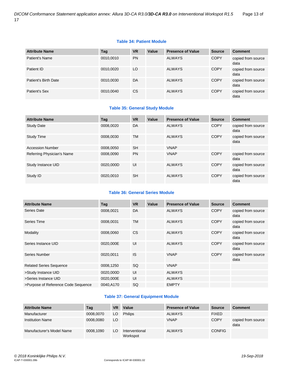# **Table 34: Patient Module**

| <b>Attribute Name</b> | Tag       | <b>VR</b> | Value | <b>Presence of Value</b> | <b>Source</b> | <b>Comment</b>             |
|-----------------------|-----------|-----------|-------|--------------------------|---------------|----------------------------|
| Patient's Name        | 0010,0010 | <b>PN</b> |       | <b>ALWAYS</b>            | <b>COPY</b>   | copied from source<br>data |
| Patient ID            | 0010,0020 | LO        |       | <b>ALWAYS</b>            | <b>COPY</b>   | copied from source<br>data |
| Patient's Birth Date  | 0010,0030 | DA        |       | <b>ALWAYS</b>            | <b>COPY</b>   | copied from source<br>data |
| Patient's Sex         | 0010,0040 | CS.       |       | <b>ALWAYS</b>            | <b>COPY</b>   | copied from source<br>data |

# **Table 35: General Study Module**

| <b>Attribute Name</b>      | Tag       | <b>VR</b> | Value | <b>Presence of Value</b> | <b>Source</b> | <b>Comment</b>             |
|----------------------------|-----------|-----------|-------|--------------------------|---------------|----------------------------|
| <b>Study Date</b>          | 0008.0020 | DA        |       | <b>ALWAYS</b>            | <b>COPY</b>   | copied from source<br>data |
| <b>Study Time</b>          | 0008.0030 | <b>TM</b> |       | <b>ALWAYS</b>            | <b>COPY</b>   | copied from source<br>data |
| <b>Accession Number</b>    | 0008.0050 | <b>SH</b> |       | <b>VNAP</b>              |               |                            |
| Referring Physician's Name | 0008,0090 | <b>PN</b> |       | <b>VNAP</b>              | <b>COPY</b>   | copied from source<br>data |
| Study Instance UID         | 0020.000D | UI        |       | <b>ALWAYS</b>            | <b>COPY</b>   | copied from source<br>data |
| Study ID                   | 0020.0010 | <b>SH</b> |       | <b>ALWAYS</b>            | <b>COPY</b>   | copied from source<br>data |

# **Table 36: General Series Module**

| <b>Attribute Name</b>               | Tag       | <b>VR</b> | Value | <b>Presence of Value</b> | <b>Source</b> | <b>Comment</b>             |
|-------------------------------------|-----------|-----------|-------|--------------------------|---------------|----------------------------|
| Series Date                         | 0008,0021 | DA        |       | <b>ALWAYS</b>            | <b>COPY</b>   | copied from source<br>data |
| Series Time                         | 0008,0031 | <b>TM</b> |       | <b>ALWAYS</b>            | <b>COPY</b>   | copied from source<br>data |
| Modality                            | 0008,0060 | <b>CS</b> |       | <b>ALWAYS</b>            | <b>COPY</b>   | copied from source<br>data |
| Series Instance UID                 | 0020,000E | UI        |       | <b>ALWAYS</b>            | <b>COPY</b>   | copied from source<br>data |
| Series Number                       | 0020,0011 | IS        |       | <b>VNAP</b>              | <b>COPY</b>   | copied from source<br>data |
| <b>Related Series Sequence</b>      | 0008,1250 | <b>SQ</b> |       | <b>VNAP</b>              |               |                            |
| >Study Instance UID                 | 0020,000D | UI        |       | <b>ALWAYS</b>            |               |                            |
| >Series Instance UID                | 0020,000E | UI        |       | <b>ALWAYS</b>            |               |                            |
| >Purpose of Reference Code Sequence | 0040,A170 | SQ        |       | <b>EMPTY</b>             |               |                            |

# **Table 37: General Equipment Module**

| <b>Attribute Name</b>     | Tag       | VR | Value                      | <b>Presence of Value</b> | <b>Source</b> | <b>Comment</b>             |
|---------------------------|-----------|----|----------------------------|--------------------------|---------------|----------------------------|
| Manufacturer              | 0008,0070 | LO | <b>Philips</b>             | <b>ALWAYS</b>            | <b>FIXED</b>  |                            |
| <b>Institution Name</b>   | 0008.0080 | LO |                            | <b>VNAP</b>              | <b>COPY</b>   | copied from source<br>data |
| Manufacturer's Model Name | 0008.1090 | LO | Interventional<br>Workspot | <b>ALWAYS</b>            | <b>CONFIG</b> |                            |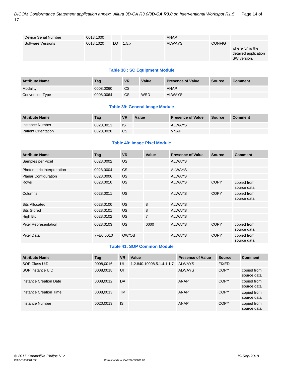| Device Serial Number | 0018,1000 |     |       | ANAP          |               |                                                         |
|----------------------|-----------|-----|-------|---------------|---------------|---------------------------------------------------------|
| Software Versions    | 0018,1020 | LO. | 1.5.x | <b>ALWAYS</b> | <b>CONFIG</b> | where "x" is the<br>detailed application<br>SW version. |

# **Table 38 : SC Equipment Module**

| <b>Attribute Name</b> | Taq       | <b>VR</b> | Value | <b>Presence of Value</b> | <b>Source</b> | <b>Comment</b> |
|-----------------------|-----------|-----------|-------|--------------------------|---------------|----------------|
| Modality              | 0008.0060 | CS        |       | ANAP                     |               |                |
| Conversion Type       | 0008.0064 | <b>CS</b> | WSD   | <b>ALWAYS</b>            |               |                |

# **Table 39: General Image Module**

| <b>Attribute Name</b>      | Tag       | <b>VR</b> | Value | <b>Presence of Value</b> | <b>Source</b> | <b>Comment</b> |
|----------------------------|-----------|-----------|-------|--------------------------|---------------|----------------|
| Instance Number            | 0020.0013 | IS        |       | <b>ALWAYS</b>            |               |                |
| <b>Patient Orientation</b> | 0020.0020 | CS        |       | <b>VNAP</b>              |               |                |

# **Table 40: Image Pixel Module**

| <b>Attribute Name</b>       | Tag       | <b>VR</b> | Value          | <b>Presence of Value</b> | <b>Source</b> | <b>Comment</b>             |
|-----------------------------|-----------|-----------|----------------|--------------------------|---------------|----------------------------|
| Samples per Pixel           | 0028,0002 | US.       |                | <b>ALWAYS</b>            |               |                            |
| Photometric Interpretation  | 0028,0004 | <b>CS</b> |                | <b>ALWAYS</b>            |               |                            |
| <b>Planar Configuration</b> | 0028,0006 | <b>US</b> |                | <b>ALWAYS</b>            |               |                            |
| <b>Rows</b>                 | 0028,0010 | US.       |                | <b>ALWAYS</b>            | <b>COPY</b>   | copied from<br>source data |
| Columns                     | 0028,0011 | <b>US</b> |                | <b>ALWAYS</b>            | <b>COPY</b>   | copied from<br>source data |
| <b>Bits Allocated</b>       | 0028,0100 | <b>US</b> | 8              | <b>ALWAYS</b>            |               |                            |
| <b>Bits Stored</b>          | 0028,0101 | <b>US</b> | 8              | <b>ALWAYS</b>            |               |                            |
| High Bit                    | 0028,0102 | <b>US</b> | $\overline{7}$ | <b>ALWAYS</b>            |               |                            |
| <b>Pixel Representation</b> | 0028,0103 | <b>US</b> | 0000           | <b>ALWAYS</b>            | <b>COPY</b>   | copied from<br>source data |
| <b>Pixel Data</b>           | 7FE0,0010 | OW/OB     |                | <b>ALWAYS</b>            | <b>COPY</b>   | copied from<br>source data |

# **Table 41: SOP Common Module**

| <b>Attribute Name</b>  | Tag       | <b>VR</b> | Value                     | <b>Presence of Value</b> | <b>Source</b> | <b>Comment</b>             |
|------------------------|-----------|-----------|---------------------------|--------------------------|---------------|----------------------------|
| SOP Class UID          | 0008,0016 | UI        | 1.2.840.10008.5.1.4.1.1.7 | ALWAYS                   | <b>FIXED</b>  |                            |
| SOP Instance UID       | 0008,0018 | UI        |                           | <b>ALWAYS</b>            | <b>COPY</b>   | copied from<br>source data |
| Instance Creation Date | 0008,0012 | DA        |                           | <b>ANAP</b>              | <b>COPY</b>   | copied from<br>source data |
| Instance Creation Time | 0008.0013 | <b>TM</b> |                           | <b>ANAP</b>              | <b>COPY</b>   | copied from<br>source data |
| Instance Number        | 0020.0013 | <b>IS</b> |                           | ANAP                     | <b>COPY</b>   | copied from<br>source data |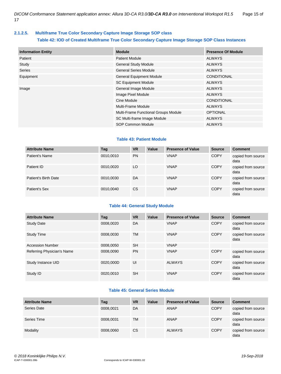# <span id="page-14-0"></span>**2.1.2.5. Multiframe True Color Secondary Capture Image Storage SOP class**

# **Table 42: IOD of Created Multiframe True Color Secondary Capture Image Storage SOP Class Instances**

| <b>Information Entity</b> | <b>Module</b>                        | <b>Presence Of Module</b> |
|---------------------------|--------------------------------------|---------------------------|
| Patient                   | <b>Patient Module</b>                | ALWAYS                    |
| Study                     | <b>General Study Module</b>          | <b>ALWAYS</b>             |
| Series                    | <b>General Series Module</b>         | ALWAYS                    |
| Equipment                 | <b>General Equipment Module</b>      | <b>CONDITIONAL</b>        |
|                           | <b>SC Equipment Module</b>           | ALWAYS                    |
| Image                     | General Image Module                 | ALWAYS                    |
|                           | Image Pixel Module                   | ALWAYS                    |
|                           | Cine Module                          | <b>CONDITIONAL</b>        |
|                           | Multi-Frame Module                   | ALWAYS                    |
|                           | Multi-Frame Functional Groups Module | <b>OPTIONAL</b>           |
|                           | SC Multi-frame Image Module          | <b>ALWAYS</b>             |
|                           | <b>SOP Common Module</b>             | <b>ALWAYS</b>             |

# **Table 43: Patient Module**

| <b>Attribute Name</b> | Tag       | <b>VR</b>     | Value | <b>Presence of Value</b> | <b>Source</b> | <b>Comment</b>             |
|-----------------------|-----------|---------------|-------|--------------------------|---------------|----------------------------|
| Patient's Name        | 0010,0010 | <b>PN</b>     |       | <b>VNAP</b>              | <b>COPY</b>   | copied from source<br>data |
| Patient ID            | 0010,0020 | LO            |       | <b>VNAP</b>              | <b>COPY</b>   | copied from source<br>data |
| Patient's Birth Date  | 0010,0030 | DA            |       | <b>VNAP</b>              | <b>COPY</b>   | copied from source<br>data |
| Patient's Sex         | 0010,0040 | <sub>CS</sub> |       | <b>VNAP</b>              | <b>COPY</b>   | copied from source<br>data |

# **Table 44: General Study Module**

| <b>Attribute Name</b>      | Tag       | <b>VR</b> | Value | <b>Presence of Value</b> | <b>Source</b> | <b>Comment</b>             |
|----------------------------|-----------|-----------|-------|--------------------------|---------------|----------------------------|
| <b>Study Date</b>          | 0008.0020 | DA        |       | <b>VNAP</b>              | <b>COPY</b>   | copied from source<br>data |
| <b>Study Time</b>          | 0008.0030 | TM        |       | <b>VNAP</b>              | <b>COPY</b>   | copied from source<br>data |
| <b>Accession Number</b>    | 0008,0050 | <b>SH</b> |       | <b>VNAP</b>              |               |                            |
| Referring Physician's Name | 0008.0090 | <b>PN</b> |       | <b>VNAP</b>              | <b>COPY</b>   | copied from source<br>data |
| Study Instance UID         | 0020,000D | UI        |       | <b>ALWAYS</b>            | <b>COPY</b>   | copied from source<br>data |
| Study ID                   | 0020,0010 | <b>SH</b> |       | <b>VNAP</b>              | <b>COPY</b>   | copied from source<br>data |

# **Table 45: General Series Module**

| <b>Attribute Name</b> | Tag       | <b>VR</b> | Value | <b>Presence of Value</b> | <b>Source</b> | <b>Comment</b>             |
|-----------------------|-----------|-----------|-------|--------------------------|---------------|----------------------------|
| Series Date           | 0008,0021 | DA        |       | <b>ANAP</b>              | <b>COPY</b>   | copied from source<br>data |
| Series Time           | 0008,0031 | <b>TM</b> |       | <b>ANAP</b>              | <b>COPY</b>   | copied from source<br>data |
| Modality              | 0008,0060 | <b>CS</b> |       | <b>ALWAYS</b>            | <b>COPY</b>   | copied from source<br>data |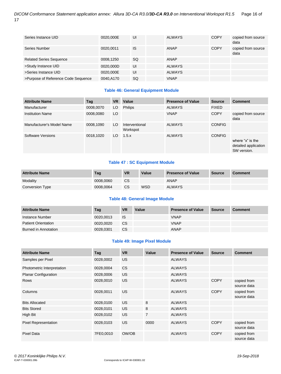| Series Instance UID                 | 0020,000E | UI        | <b>ALWAYS</b> | <b>COPY</b> | copied from source<br>data |
|-------------------------------------|-----------|-----------|---------------|-------------|----------------------------|
| Series Number                       | 0020.0011 | <b>IS</b> | <b>ANAP</b>   | <b>COPY</b> | copied from source<br>data |
| <b>Related Series Sequence</b>      | 0008,1250 | <b>SQ</b> | <b>ANAP</b>   |             |                            |
| >Study Instance UID                 | 0020.000D | UI        | <b>ALWAYS</b> |             |                            |
| >Series Instance UID                | 0020,000E | UI        | <b>ALWAYS</b> |             |                            |
| >Purpose of Reference Code Sequence | 0040,A170 | SQ        | <b>VNAP</b>   |             |                            |

# **Table 46: General Equipment Module**

| <b>Attribute Name</b>     | Tag       | <b>VR</b> | Value                      | <b>Presence of Value</b> | <b>Source</b> | <b>Comment</b>                                          |
|---------------------------|-----------|-----------|----------------------------|--------------------------|---------------|---------------------------------------------------------|
| Manufacturer              | 0008,0070 | LO.       | <b>Philips</b>             | <b>ALWAYS</b>            | <b>FIXED</b>  |                                                         |
| <b>Institution Name</b>   | 0008,0080 | LO        |                            | <b>VNAP</b>              | <b>COPY</b>   | copied from source<br>data                              |
| Manufacturer's Model Name | 0008,1090 | LO.       | Interventional<br>Workspot | <b>ALWAYS</b>            | <b>CONFIG</b> |                                                         |
| Software Versions         | 0018,1020 | LO.       | 1.5.x                      | <b>ALWAYS</b>            | <b>CONFIG</b> | where "x" is the<br>detailed application<br>SW version. |

# **Table 47 : SC Equipment Module**

| <b>Attribute Name</b> | Tag       | <b>VR</b> | Value      | <b>Presence of Value</b> | <b>Source</b> | <b>Comment</b> |
|-----------------------|-----------|-----------|------------|--------------------------|---------------|----------------|
| Modality              | 0008.0060 | <b>CS</b> |            | ANAP                     |               |                |
| Conversion Type       | 0008.0064 | <b>CS</b> | <b>WSD</b> | <b>ALWAYS</b>            |               |                |

# **Table 48: General Image Module**

| <b>Attribute Name</b>      | Tag       | <b>VR</b> | Value | <b>Presence of Value</b> | Source | <b>Comment</b> |
|----------------------------|-----------|-----------|-------|--------------------------|--------|----------------|
| Instance Number            | 0020.0013 | <b>IS</b> |       | <b>VNAP</b>              |        |                |
| <b>Patient Orientation</b> | 0020.0020 | CS.       |       | <b>VNAP</b>              |        |                |
| Burned in Annotation       | 0028.0301 | CS.       |       | <b>ANAP</b>              |        |                |

# **Table 49: Image Pixel Module**

| <b>Attribute Name</b>       | Tag       | <b>VR</b> | Value          | <b>Presence of Value</b> | <b>Source</b> | <b>Comment</b>             |
|-----------------------------|-----------|-----------|----------------|--------------------------|---------------|----------------------------|
| Samples per Pixel           | 0028,0002 | US.       |                | <b>ALWAYS</b>            |               |                            |
| Photometric Interpretation  | 0028,0004 | <b>CS</b> |                | <b>ALWAYS</b>            |               |                            |
| <b>Planar Configuration</b> | 0028,0006 | <b>US</b> |                | <b>ALWAYS</b>            |               |                            |
| <b>Rows</b>                 | 0028,0010 | US.       |                | <b>ALWAYS</b>            | <b>COPY</b>   | copied from<br>source data |
| Columns                     | 0028,0011 | <b>US</b> |                | <b>ALWAYS</b>            | <b>COPY</b>   | copied from<br>source data |
| <b>Bits Allocated</b>       | 0028,0100 | <b>US</b> | 8              | <b>ALWAYS</b>            |               |                            |
| <b>Bits Stored</b>          | 0028,0101 | US.       | 8              | <b>ALWAYS</b>            |               |                            |
| High Bit                    | 0028,0102 | US.       | $\overline{7}$ | <b>ALWAYS</b>            |               |                            |
| Pixel Representation        | 0028,0103 | US.       | 0000           | <b>ALWAYS</b>            | <b>COPY</b>   | copied from<br>source data |
| <b>Pixel Data</b>           | 7FE0,0010 | OW/OB     |                | <b>ALWAYS</b>            | <b>COPY</b>   | copied from<br>source data |